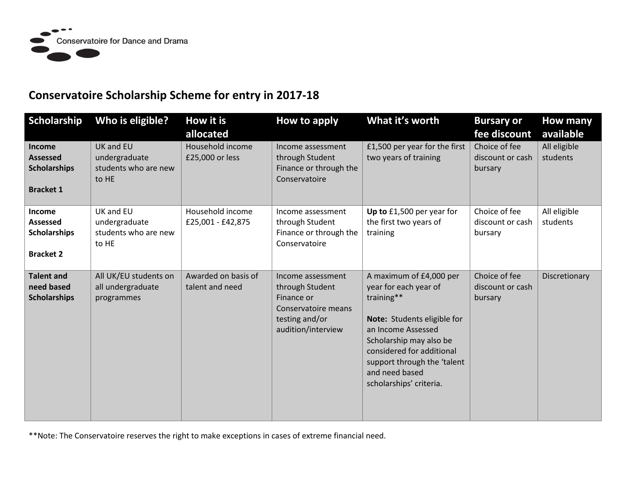

## **Conservatoire Scholarship Scheme for entry in 2017-18**

| Scholarship                                                                 | Who is eligible?                                            | How it is<br>allocated                 | How to apply                                                                                                      | What it's worth                                                                                                                                                                                                                                         | <b>Bursary or</b><br>fee discount            | How many<br>available    |
|-----------------------------------------------------------------------------|-------------------------------------------------------------|----------------------------------------|-------------------------------------------------------------------------------------------------------------------|---------------------------------------------------------------------------------------------------------------------------------------------------------------------------------------------------------------------------------------------------------|----------------------------------------------|--------------------------|
| <b>Income</b><br><b>Assessed</b><br><b>Scholarships</b><br><b>Bracket 1</b> | UK and EU<br>undergraduate<br>students who are new<br>to HE | Household income<br>£25,000 or less    | Income assessment<br>through Student<br>Finance or through the<br>Conservatoire                                   | £1,500 per year for the first<br>two years of training                                                                                                                                                                                                  | Choice of fee<br>discount or cash<br>bursary | All eligible<br>students |
| Income<br>Assessed<br><b>Scholarships</b><br><b>Bracket 2</b>               | UK and EU<br>undergraduate<br>students who are new<br>to HE | Household income<br>£25,001 - £42,875  | Income assessment<br>through Student<br>Finance or through the<br>Conservatoire                                   | Up to £1,500 per year for<br>the first two years of<br>training                                                                                                                                                                                         | Choice of fee<br>discount or cash<br>bursary | All eligible<br>students |
| <b>Talent and</b><br>need based<br><b>Scholarships</b>                      | All UK/EU students on<br>all undergraduate<br>programmes    | Awarded on basis of<br>talent and need | Income assessment<br>through Student<br>Finance or<br>Conservatoire means<br>testing and/or<br>audition/interview | A maximum of £4,000 per<br>year for each year of<br>training**<br>Note: Students eligible for<br>an Income Assessed<br>Scholarship may also be<br>considered for additional<br>support through the 'talent<br>and need based<br>scholarships' criteria. | Choice of fee<br>discount or cash<br>bursary | Discretionary            |

\*\*Note: The Conservatoire reserves the right to make exceptions in cases of extreme financial need.